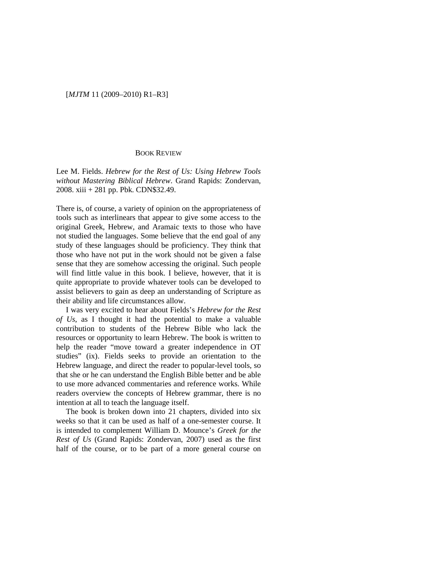## [*MJTM* 11 (2009–2010) R1–R3]

## BOOK REVIEW

Lee M. Fields. *Hebrew for the Rest of Us: Using Hebrew Tools without Mastering Biblical Hebrew*. Grand Rapids: Zondervan, 2008. xiii + 281 pp. Pbk. CDN\$32.49.

There is, of course, a variety of opinion on the appropriateness of tools such as interlinears that appear to give some access to the original Greek, Hebrew, and Aramaic texts to those who have not studied the languages. Some believe that the end goal of any study of these languages should be proficiency. They think that those who have not put in the work should not be given a false sense that they are somehow accessing the original. Such people will find little value in this book. I believe, however, that it is quite appropriate to provide whatever tools can be developed to assist believers to gain as deep an understanding of Scripture as their ability and life circumstances allow.

I was very excited to hear about Fields's *Hebrew for the Rest of Us*, as I thought it had the potential to make a valuable contribution to students of the Hebrew Bible who lack the resources or opportunity to learn Hebrew. The book is written to help the reader "move toward a greater independence in OT studies" (ix). Fields seeks to provide an orientation to the Hebrew language, and direct the reader to popular-level tools, so that she or he can understand the English Bible better and be able to use more advanced commentaries and reference works. While readers overview the concepts of Hebrew grammar, there is no intention at all to teach the language itself.

The book is broken down into 21 chapters, divided into six weeks so that it can be used as half of a one-semester course. It is intended to complement William D. Mounce's *Greek for the Rest of Us* (Grand Rapids: Zondervan, 2007) used as the first half of the course, or to be part of a more general course on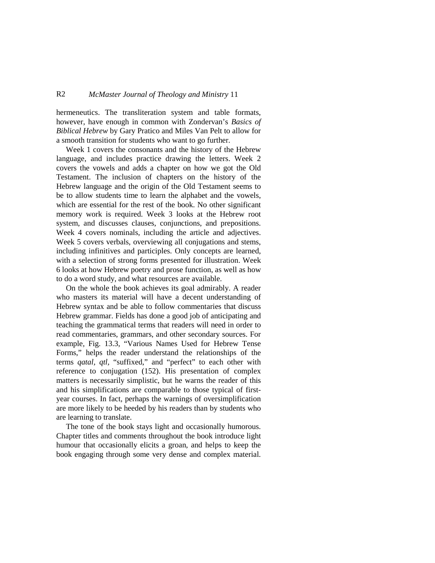## R2 *McMaster Journal of Theology and Ministry* 11

hermeneutics. The transliteration system and table formats, however, have enough in common with Zondervan's *Basics of Biblical Hebrew* by Gary Pratico and Miles Van Pelt to allow for a smooth transition for students who want to go further.

Week 1 covers the consonants and the history of the Hebrew language, and includes practice drawing the letters. Week 2 covers the vowels and adds a chapter on how we got the Old Testament. The inclusion of chapters on the history of the Hebrew language and the origin of the Old Testament seems to be to allow students time to learn the alphabet and the vowels, which are essential for the rest of the book. No other significant memory work is required. Week 3 looks at the Hebrew root system, and discusses clauses, conjunctions, and prepositions. Week 4 covers nominals, including the article and adjectives. Week 5 covers verbals, overviewing all conjugations and stems, including infinitives and participles. Only concepts are learned, with a selection of strong forms presented for illustration. Week 6 looks at how Hebrew poetry and prose function, as well as how to do a word study, and what resources are available.

On the whole the book achieves its goal admirably. A reader who masters its material will have a decent understanding of Hebrew syntax and be able to follow commentaries that discuss Hebrew grammar. Fields has done a good job of anticipating and teaching the grammatical terms that readers will need in order to read commentaries, grammars, and other secondary sources. For example, Fig. 13.3, "Various Names Used for Hebrew Tense Forms," helps the reader understand the relationships of the terms *qatal, qtl,* "suffixed," and "perfect" to each other with reference to conjugation (152). His presentation of complex matters is necessarily simplistic, but he warns the reader of this and his simplifications are comparable to those typical of firstyear courses. In fact, perhaps the warnings of oversimplification are more likely to be heeded by his readers than by students who are learning to translate.

The tone of the book stays light and occasionally humorous. Chapter titles and comments throughout the book introduce light humour that occasionally elicits a groan, and helps to keep the book engaging through some very dense and complex material.